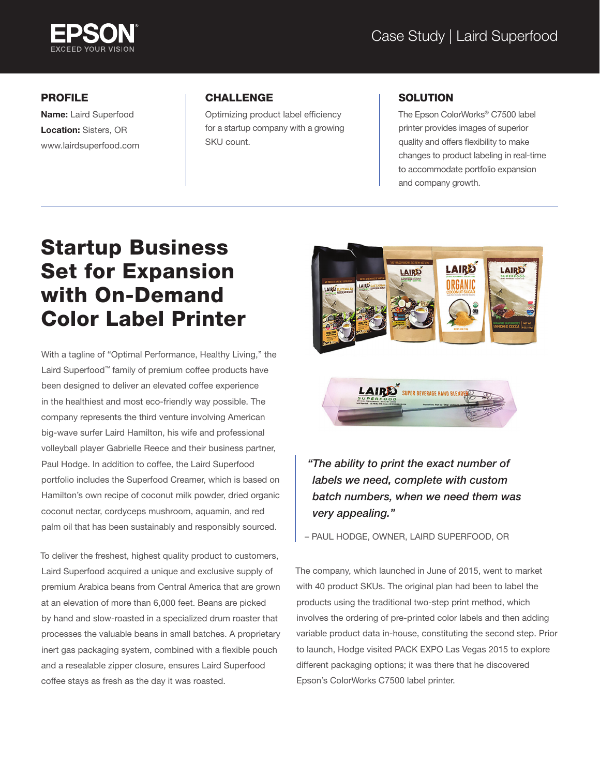

#### PROFILE

Name: Laird Superfood Location: Sisters, OR www.lairdsuperfood.com

### CHALLENGE

Optimizing product label efficiency for a startup company with a growing SKU count.

#### **SOLUTION**

The Epson ColorWorks® C7500 label printer provides images of superior quality and offers flexibility to make changes to product labeling in real-time to accommodate portfolio expansion and company growth.

# Startup Business Set for Expansion with On-Demand Color Label Printer

With a tagline of "Optimal Performance, Healthy Living," the Laird Superfood™ family of premium coffee products have been designed to deliver an elevated coffee experience in the healthiest and most eco-friendly way possible. The company represents the third venture involving American big-wave surfer Laird Hamilton, his wife and professional volleyball player Gabrielle Reece and their business partner, Paul Hodge. In addition to coffee, the Laird Superfood portfolio includes the Superfood Creamer, which is based on Hamilton's own recipe of coconut milk powder, dried organic coconut nectar, cordyceps mushroom, aquamin, and red palm oil that has been sustainably and responsibly sourced.

To deliver the freshest, highest quality product to customers, Laird Superfood acquired a unique and exclusive supply of premium Arabica beans from Central America that are grown at an elevation of more than 6,000 feet. Beans are picked by hand and slow-roasted in a specialized drum roaster that processes the valuable beans in small batches. A proprietary inert gas packaging system, combined with a flexible pouch and a resealable zipper closure, ensures Laird Superfood coffee stays as fresh as the day it was roasted.



## *"The ability to print the exact number of labels we need, complete with custom batch numbers, when we need them was very appealing."*

– PAUL HODGE, OWNER, LAIRD SUPERFOOD, OR

The company, which launched in June of 2015, went to market with 40 product SKUs. The original plan had been to label the products using the traditional two-step print method, which involves the ordering of pre-printed color labels and then adding variable product data in-house, constituting the second step. Prior to launch, Hodge visited PACK EXPO Las Vegas 2015 to explore different packaging options; it was there that he discovered Epson's ColorWorks C7500 label printer.